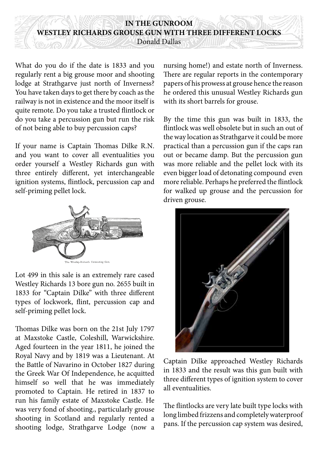## **IN THE GUNROOM WESTLEY RICHARDS GROUSE GUN WITH THREE DIFFERENT LOCKS**

Donald Dallas

What do you do if the date is 1833 and you regularly rent a big grouse moor and shooting lodge at Strathgarve just north of Inverness? You have taken days to get there by coach as the railway is not in existence and the moor itself is quite remote. Do you take a trusted flintlock or do you take a percussion gun but run the risk of not being able to buy percussion caps?

If your name is Captain Thomas Dilke R.N. and you want to cover all eventualities you order yourself a Westley Richards gun with three entirely different, yet interchangeable ignition systems, flintlock, percussion cap and self-priming pellet lock.



Lot 499 in this sale is an extremely rare cased Westley Richards 13 bore gun no. 2655 built in 1833 for "Captain Dilke" with three different types of lockwork, flint, percussion cap and self-priming pellet lock.

Thomas Dilke was born on the 21st July 1797 at Maxstoke Castle, Coleshill, Warwickshire. Aged fourteen in the year 1811, he joined the Royal Navy and by 1819 was a Lieutenant. At the Battle of Navarino in October 1827 during the Greek War Of Independence, he acquitted himself so well that he was immediately promoted to Captain. He retired in 1837 to run his family estate of Maxstoke Castle. He was very fond of shooting., particularly grouse shooting in Scotland and regularly rented a shooting lodge, Strathgarve Lodge (now a

nursing home!) and estate north of Inverness. There are regular reports in the contemporary papers of his prowess at grouse hence the reason he ordered this unusual Westley Richards gun with its short barrels for grouse.

By the time this gun was built in 1833, the flintlock was well obsolete but in such an out of the way location as Strathgarve it could be more practical than a percussion gun if the caps ran out or became damp. But the percussion gun was more reliable and the pellet lock with its even bigger load of detonating compound even more reliable. Perhaps he preferred the flintlock for walked up grouse and the percussion for driven grouse.



Captain Dilke approached Westley Richards in 1833 and the result was this gun built with three different types of ignition system to cover all eventualities.

The flintlocks are very late built type locks with long limbed frizzens and completely waterproof pans. If the percussion cap system was desired,